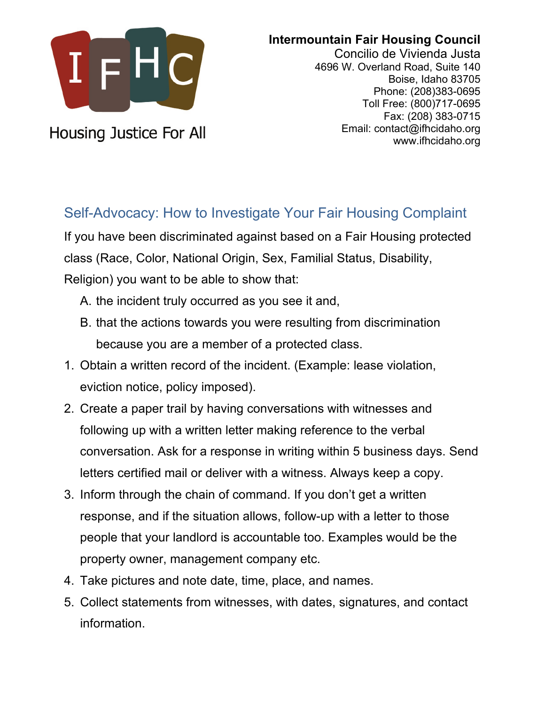

**Housing Justice For All** 

**Intermountain Fair Housing Council**

Concilio de Vivienda Justa 4696 W. Overland Road, Suite 140 Boise, Idaho 83705 Phone: (208)383-0695 Toll Free: (800)717-0695 Fax: (208) 383-0715 Email: contact@ifhcidaho.org www.ifhcidaho.org

## Self-Advocacy: How to Investigate Your Fair Housing Complaint

If you have been discriminated against based on a Fair Housing protected class (Race, Color, National Origin, Sex, Familial Status, Disability, Religion) you want to be able to show that:

- A. the incident truly occurred as you see it and,
- B. that the actions towards you were resulting from discrimination because you are a member of a protected class.
- 1. Obtain a written record of the incident. (Example: lease violation, eviction notice, policy imposed).
- 2. Create a paper trail by having conversations with witnesses and following up with a written letter making reference to the verbal conversation. Ask for a response in writing within 5 business days. Send letters certified mail or deliver with a witness. Always keep a copy.
- 3. Inform through the chain of command. If you don't get a written response, and if the situation allows, follow-up with a letter to those people that your landlord is accountable too. Examples would be the property owner, management company etc.
- 4. Take pictures and note date, time, place, and names.
- 5. Collect statements from witnesses, with dates, signatures, and contact information.